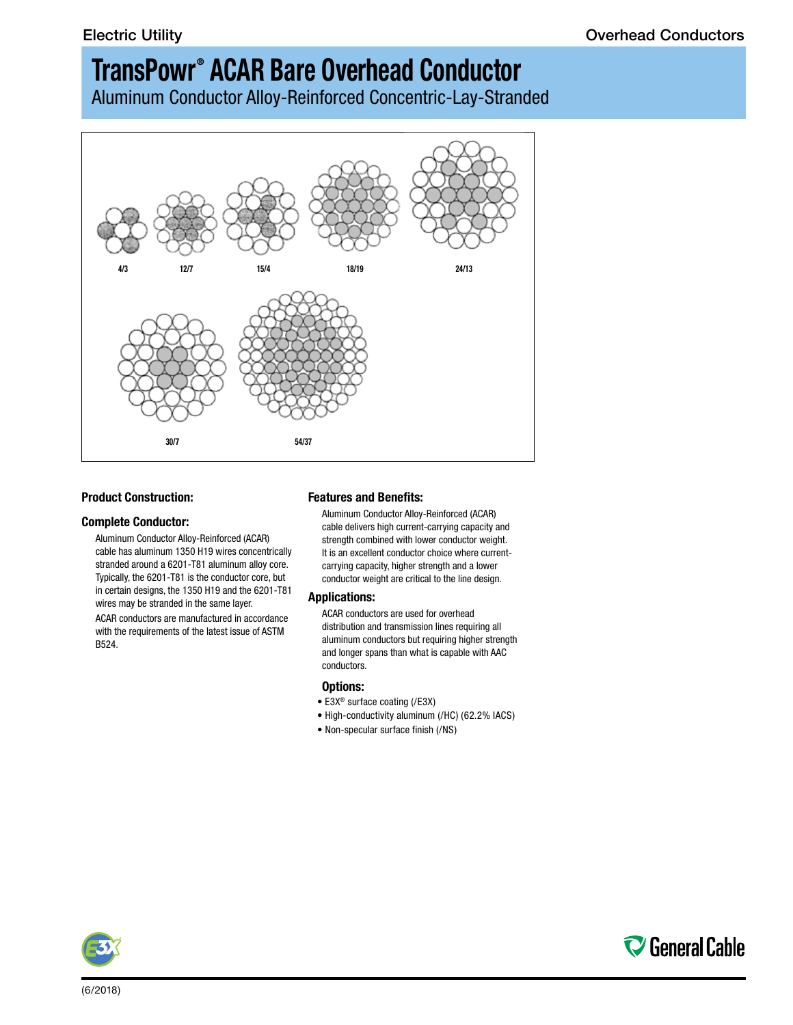## **TransPowr ® ACAR Bare Overhead Conductor**

Aluminum Conductor Alloy-Reinforced Concentric-Lay-Stranded



## **Product Construction:**

## **Complete Conductor:**

Aluminum Conductor Alloy-Reinforced (ACAR) cable has aluminum 1350 H19 wires concentrically stranded around a 6201-T81 aluminum alloy core. Typically, the 6201-T81 is the conductor core, but in certain designs, the 1350 H19 and the 6201-T81 wires may be stranded in the same layer.

ACAR conductors are manufactured in accordance with the requirements of the latest issue of ASTM B524.

#### **Features and Benefits:**

Aluminum Conductor Alloy-Reinforced (ACAR) cable delivers high current-carrying capacity and strength combined with lower conductor weight. It is an excellent conductor choice where currentcarrying capacity, higher strength and a lower conductor weight are critical to the line design.

#### **Applications:**

ACAR conductors are used for overhead distribution and transmission lines requiring all aluminum conductors but requiring higher strength and longer spans than what is capable with AAC conductors.

## **Options:**

- E3X® surface coating (/E3X)
- High-conductivity aluminum (/HC) (62.2% IACS)
- Non-specular surface finish (/NS)



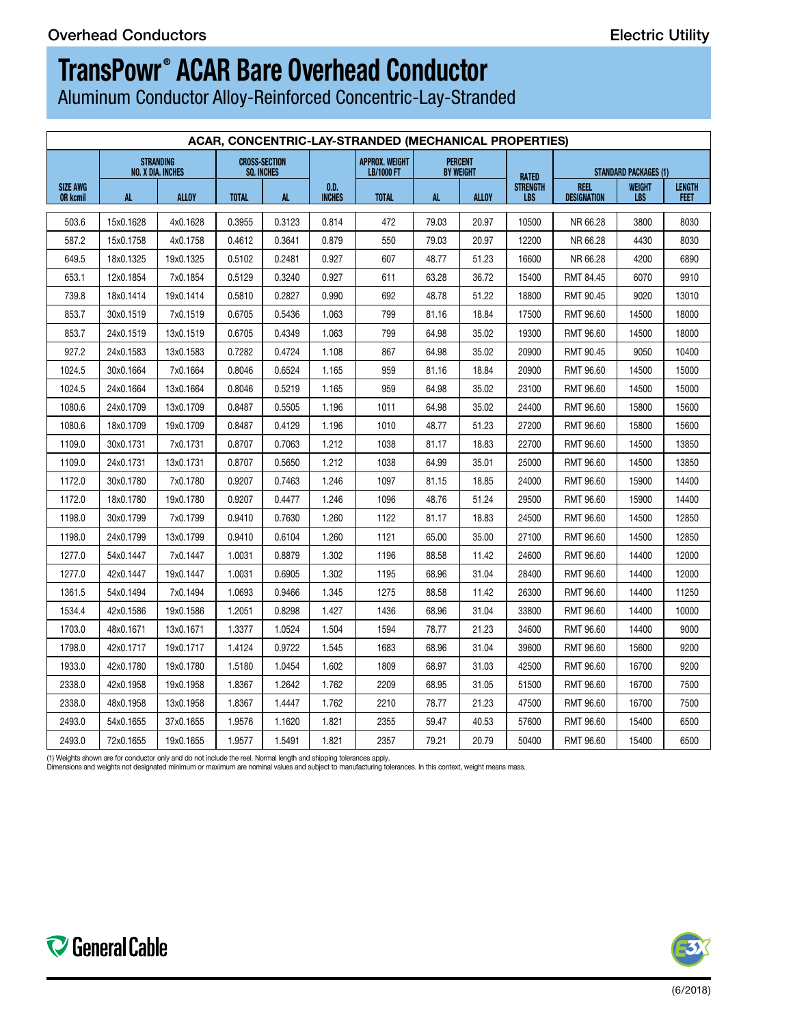# **TransPowr ® ACAR Bare Overhead Conductor**

Aluminum Conductor Alloy-Reinforced Concentric-Lay-Stranded

| ACAR, CONCENTRIC-LAY-STRANDED (MECHANICAL PROPERTIES) |                                       |           |                                           |        |                       |                                     |                                    |       |                                               |                                   |                             |                              |
|-------------------------------------------------------|---------------------------------------|-----------|-------------------------------------------|--------|-----------------------|-------------------------------------|------------------------------------|-------|-----------------------------------------------|-----------------------------------|-----------------------------|------------------------------|
|                                                       | <b>STRANDING</b><br>NO. X DIA. INCHES |           | <b>CROSS-SECTION</b><br><b>SO. INCHES</b> |        |                       | APPROX. WEIGHT<br><b>LB/1000 FT</b> | <b>PERCENT</b><br><b>BY WEIGHT</b> |       |                                               | <b>STANDARD PACKAGES (1)</b>      |                             |                              |
| SIZE AWG<br><b>OR kcmil</b>                           |                                       | ALLOY     | <b>TOTAL</b>                              | AL     | 0.D.<br><b>INCHES</b> | <b>TOTAL</b>                        | AL.                                | ALLOY | <b>RATED</b><br><b>STRENGTH</b><br><b>LBS</b> | <b>REEL</b><br><b>DESIGNATION</b> | <b>WEIGHT</b><br><b>LBS</b> | <b>LENGTH</b><br><b>FEET</b> |
|                                                       |                                       |           |                                           |        |                       |                                     |                                    |       |                                               |                                   |                             |                              |
| 503.6                                                 | 15x0.1628                             | 4x0.1628  | 0.3955                                    | 0.3123 | 0.814                 | 472                                 | 79.03                              | 20.97 | 10500                                         | NR 66.28                          | 3800                        | 8030                         |
| 587.2                                                 | 15x0.1758                             | 4x0.1758  | 0.4612                                    | 0.3641 | 0.879                 | 550                                 | 79.03                              | 20.97 | 12200                                         | NR 66.28                          | 4430                        | 8030                         |
| 649.5                                                 | 18x0.1325                             | 19x0.1325 | 0.5102                                    | 0.2481 | 0.927                 | 607                                 | 48.77                              | 51.23 | 16600                                         | NR 66.28                          | 4200                        | 6890                         |
| 653.1                                                 | 12x0.1854                             | 7x0.1854  | 0.5129                                    | 0.3240 | 0.927                 | 611                                 | 63.28                              | 36.72 | 15400                                         | RMT 84.45                         | 6070                        | 9910                         |
| 739.8                                                 | 18x0.1414                             | 19x0.1414 | 0.5810                                    | 0.2827 | 0.990                 | 692                                 | 48.78                              | 51.22 | 18800                                         | RMT 90.45                         | 9020                        | 13010                        |
| 853.7                                                 | 30x0.1519                             | 7x0.1519  | 0.6705                                    | 0.5436 | 1.063                 | 799                                 | 81.16                              | 18.84 | 17500                                         | RMT 96.60                         | 14500                       | 18000                        |
| 853.7                                                 | 24x0.1519                             | 13x0.1519 | 0.6705                                    | 0.4349 | 1.063                 | 799                                 | 64.98                              | 35.02 | 19300                                         | RMT 96.60                         | 14500                       | 18000                        |
| 927.2                                                 | 24x0.1583                             | 13x0.1583 | 0.7282                                    | 0.4724 | 1.108                 | 867                                 | 64.98                              | 35.02 | 20900                                         | RMT 90.45                         | 9050                        | 10400                        |
| 1024.5                                                | 30x0.1664                             | 7x0.1664  | 0.8046                                    | 0.6524 | 1.165                 | 959                                 | 81.16                              | 18.84 | 20900                                         | RMT 96.60                         | 14500                       | 15000                        |
| 1024.5                                                | 24x0.1664                             | 13x0.1664 | 0.8046                                    | 0.5219 | 1.165                 | 959                                 | 64.98                              | 35.02 | 23100                                         | RMT 96.60                         | 14500                       | 15000                        |
| 1080.6                                                | 24x0.1709                             | 13x0.1709 | 0.8487                                    | 0.5505 | 1.196                 | 1011                                | 64.98                              | 35.02 | 24400                                         | RMT 96.60                         | 15800                       | 15600                        |
| 1080.6                                                | 18x0.1709                             | 19x0.1709 | 0.8487                                    | 0.4129 | 1.196                 | 1010                                | 48.77                              | 51.23 | 27200                                         | RMT 96.60                         | 15800                       | 15600                        |
| 1109.0                                                | 30x0.1731                             | 7x0.1731  | 0.8707                                    | 0.7063 | 1.212                 | 1038                                | 81.17                              | 18.83 | 22700                                         | RMT 96.60                         | 14500                       | 13850                        |
| 1109.0                                                | 24x0.1731                             | 13x0.1731 | 0.8707                                    | 0.5650 | 1.212                 | 1038                                | 64.99                              | 35.01 | 25000                                         | RMT 96.60                         | 14500                       | 13850                        |
| 1172.0                                                | 30x0.1780                             | 7x0.1780  | 0.9207                                    | 0.7463 | 1.246                 | 1097                                | 81.15                              | 18.85 | 24000                                         | RMT 96.60                         | 15900                       | 14400                        |
| 1172.0                                                | 18x0.1780                             | 19x0.1780 | 0.9207                                    | 0.4477 | 1.246                 | 1096                                | 48.76                              | 51.24 | 29500                                         | RMT 96.60                         | 15900                       | 14400                        |
| 1198.0                                                | 30x0.1799                             | 7x0.1799  | 0.9410                                    | 0.7630 | 1.260                 | 1122                                | 81.17                              | 18.83 | 24500                                         | RMT 96.60                         | 14500                       | 12850                        |
| 1198.0                                                | 24x0.1799                             | 13x0.1799 | 0.9410                                    | 0.6104 | 1.260                 | 1121                                | 65.00                              | 35.00 | 27100                                         | RMT 96.60                         | 14500                       | 12850                        |
| 1277.0                                                | 54x0.1447                             | 7x0.1447  | 1.0031                                    | 0.8879 | 1.302                 | 1196                                | 88.58                              | 11.42 | 24600                                         | RMT 96.60                         | 14400                       | 12000                        |
| 1277.0                                                | 42x0.1447                             | 19x0.1447 | 1.0031                                    | 0.6905 | 1.302                 | 1195                                | 68.96                              | 31.04 | 28400                                         | RMT 96.60                         | 14400                       | 12000                        |
| 1361.5                                                | 54x0.1494                             | 7x0.1494  | 1.0693                                    | 0.9466 | 1.345                 | 1275                                | 88.58                              | 11.42 | 26300                                         | RMT 96.60                         | 14400                       | 11250                        |
| 1534.4                                                | 42x0.1586                             | 19x0.1586 | 1.2051                                    | 0.8298 | 1.427                 | 1436                                | 68.96                              | 31.04 | 33800                                         | RMT 96.60                         | 14400                       | 10000                        |
| 1703.0                                                | 48x0.1671                             | 13x0.1671 | 1.3377                                    | 1.0524 | 1.504                 | 1594                                | 78.77                              | 21.23 | 34600                                         | RMT 96.60                         | 14400                       | 9000                         |
| 1798.0                                                | 42x0.1717                             | 19x0.1717 | 1.4124                                    | 0.9722 | 1.545                 | 1683                                | 68.96                              | 31.04 | 39600                                         | RMT 96.60                         | 15600                       | 9200                         |
| 1933.0                                                | 42x0.1780                             | 19x0.1780 | 1.5180                                    | 1.0454 | 1.602                 | 1809                                | 68.97                              | 31.03 | 42500                                         | RMT 96.60                         | 16700                       | 9200                         |
| 2338.0                                                | 42x0.1958                             | 19x0.1958 | 1.8367                                    | 1.2642 | 1.762                 | 2209                                | 68.95                              | 31.05 | 51500                                         | RMT 96.60                         | 16700                       | 7500                         |
| 2338.0                                                | 48x0.1958                             | 13x0.1958 | 1.8367                                    | 1.4447 | 1.762                 | 2210                                | 78.77                              | 21.23 | 47500                                         | RMT 96.60                         | 16700                       | 7500                         |
| 2493.0                                                | 54x0.1655                             | 37x0.1655 | 1.9576                                    | 1.1620 | 1.821                 | 2355                                | 59.47                              | 40.53 | 57600                                         | RMT 96.60                         | 15400                       | 6500                         |
| 2493.0                                                | 72x0.1655                             | 19x0.1655 | 1.9577                                    | 1.5491 | 1.821                 | 2357                                | 79.21                              | 20.79 | 50400                                         | RMT 96.60                         | 15400                       | 6500                         |

(1) Weights shown are for conductor only and do not include the reel. Normal length and shipping tolerances apply.<br>Dimensions and weights not designated minimum or maximum are nominal values and subject to manufacturing to